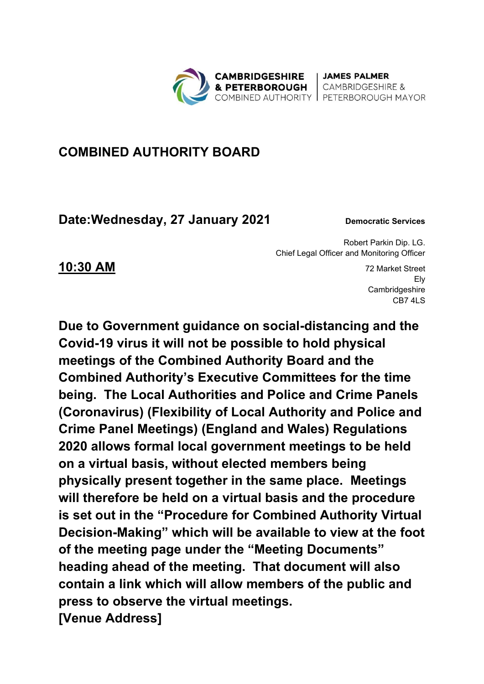

| JAMES PALMER **CAMBRIDGESHIRE &** COMBINED AUTHORITY | PETERBOROUGH MAYOR

## **COMBINED AUTHORITY BOARD**

**Date: Wednesday, 27 January 2021** Democratic Services

Robert Parkin Dip. LG. Chief Legal Officer and Monitoring Officer

**10:30 AM** 72 Market Street Ely **Cambridgeshire** CB7 4LS

**Due to Government guidance on social-distancing and the Covid-19 virus it will not be possible to hold physical meetings of the Combined Authority Board and the Combined Authority's Executive Committees for the time being. The Local Authorities and Police and Crime Panels (Coronavirus) (Flexibility of Local Authority and Police and Crime Panel Meetings) (England and Wales) Regulations 2020 allows formal local government meetings to be held on a virtual basis, without elected members being physically present together in the same place. Meetings will therefore be held on a virtual basis and the procedure is set out in the "Procedure for Combined Authority Virtual Decision-Making" which will be available to view at the foot of the meeting page under the "Meeting Documents" heading ahead of the meeting. That document will also contain a link which will allow members of the public and press to observe the virtual meetings. [Venue Address]**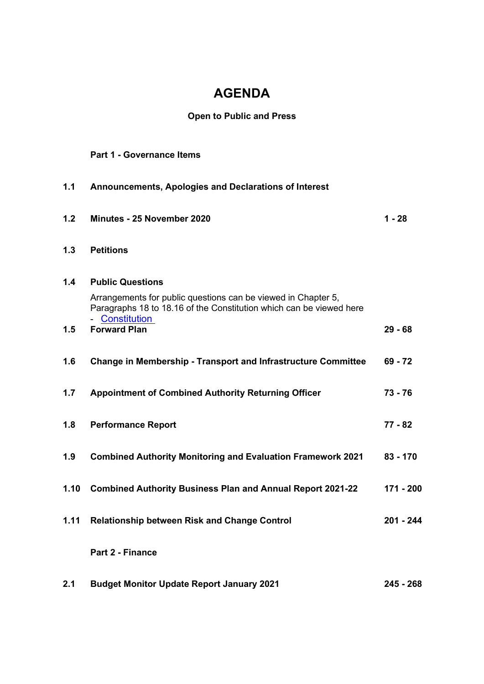# **AGENDA**

### **Open to Public and Press**

#### **Part 1 - Governance Items**

| 1.1        | Announcements, Apologies and Declarations of Interest                                                                                                                                                    |             |
|------------|----------------------------------------------------------------------------------------------------------------------------------------------------------------------------------------------------------|-------------|
| 1.2        | Minutes - 25 November 2020                                                                                                                                                                               | $1 - 28$    |
| 1.3        | <b>Petitions</b>                                                                                                                                                                                         |             |
| 1.4<br>1.5 | <b>Public Questions</b><br>Arrangements for public questions can be viewed in Chapter 5,<br>Paragraphs 18 to 18.16 of the Constitution which can be viewed here<br>- Constitution<br><b>Forward Plan</b> | $29 - 68$   |
|            |                                                                                                                                                                                                          |             |
| 1.6        | <b>Change in Membership - Transport and Infrastructure Committee</b>                                                                                                                                     | $69 - 72$   |
| 1.7        | <b>Appointment of Combined Authority Returning Officer</b>                                                                                                                                               | $73 - 76$   |
| 1.8        | <b>Performance Report</b>                                                                                                                                                                                | $77 - 82$   |
| 1.9        | <b>Combined Authority Monitoring and Evaluation Framework 2021</b>                                                                                                                                       | $83 - 170$  |
| 1.10       | <b>Combined Authority Business Plan and Annual Report 2021-22</b>                                                                                                                                        | 171 - 200   |
| 1.11       | <b>Relationship between Risk and Change Control</b>                                                                                                                                                      | $201 - 244$ |
|            | Part 2 - Finance                                                                                                                                                                                         |             |
| 2.1        | <b>Budget Monitor Update Report January 2021</b>                                                                                                                                                         | $245 - 268$ |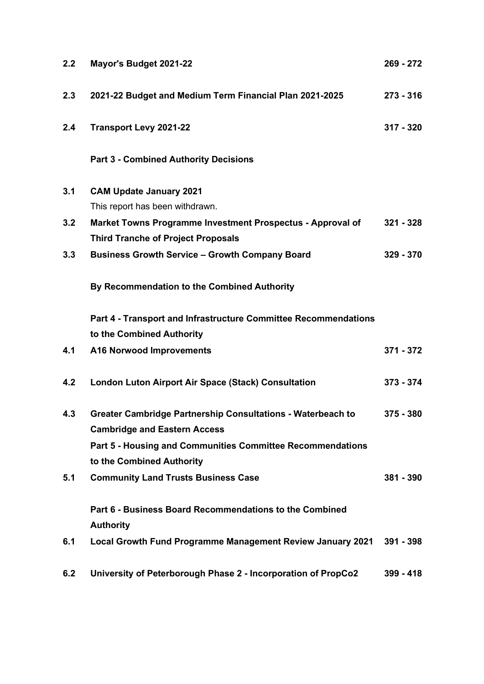| 2.2 | Mayor's Budget 2021-22                                                                                    | $269 - 272$ |
|-----|-----------------------------------------------------------------------------------------------------------|-------------|
| 2.3 | 2021-22 Budget and Medium Term Financial Plan 2021-2025                                                   | $273 - 316$ |
| 2.4 | <b>Transport Levy 2021-22</b>                                                                             | $317 - 320$ |
|     | <b>Part 3 - Combined Authority Decisions</b>                                                              |             |
| 3.1 | <b>CAM Update January 2021</b>                                                                            |             |
|     | This report has been withdrawn.                                                                           |             |
| 3.2 | Market Towns Programme Investment Prospectus - Approval of<br><b>Third Tranche of Project Proposals</b>   | $321 - 328$ |
| 3.3 | <b>Business Growth Service - Growth Company Board</b>                                                     | $329 - 370$ |
|     | By Recommendation to the Combined Authority                                                               |             |
|     | Part 4 - Transport and Infrastructure Committee Recommendations                                           |             |
|     | to the Combined Authority                                                                                 |             |
| 4.1 | <b>A16 Norwood Improvements</b>                                                                           | 371 - 372   |
| 4.2 | <b>London Luton Airport Air Space (Stack) Consultation</b>                                                | $373 - 374$ |
| 4.3 | <b>Greater Cambridge Partnership Consultations - Waterbeach to</b><br><b>Cambridge and Eastern Access</b> | $375 - 380$ |
|     | Part 5 - Housing and Communities Committee Recommendations<br>to the Combined Authority                   |             |
| 5.1 | <b>Community Land Trusts Business Case</b>                                                                | $381 - 390$ |
|     | Part 6 - Business Board Recommendations to the Combined<br><b>Authority</b>                               |             |
| 6.1 | Local Growth Fund Programme Management Review January 2021                                                | $391 - 398$ |
| 6.2 | University of Peterborough Phase 2 - Incorporation of PropCo2                                             | $399 - 418$ |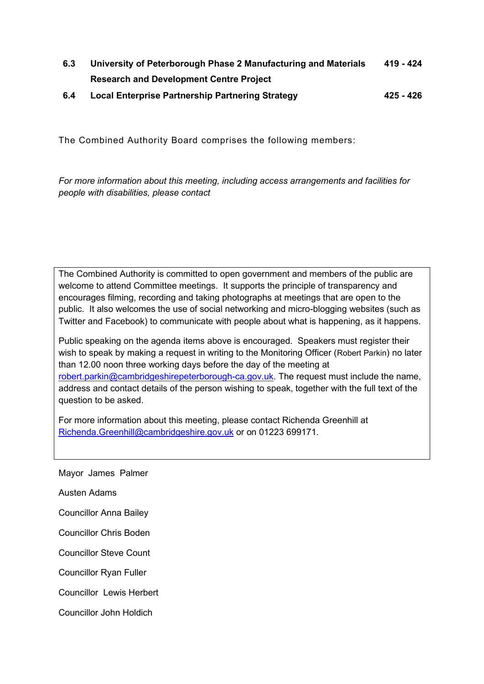- **6.3 University of Peterborough Phase 2 Manufacturing and Materials Research and Development Centre Project 419 - 424**
- **6.4 Local Enterprise Partnership Partnering Strategy 425 426**

The Combined Authority Board comprises the following members:

*For more information about this meeting, including access arrangements and facilities for people with disabilities, please contact* 

The Combined Authority is committed to open government and members of the public are welcome to attend Committee meetings. It supports the principle of transparency and encourages filming, recording and taking photographs at meetings that are open to the public. It also welcomes the use of social networking and micro-blogging websites (such as Twitter and Facebook) to communicate with people about what is happening, as it happens.

Public speaking on the agenda items above is encouraged. Speakers must register their wish to speak by making a request in writing to the Monitoring Officer (Robert Parkin) no later than 12.00 noon three working days before the day of the meeting at [robert.parkin@cambridgeshirepeterborough-ca.gov.uk.](mailto:robert.parkin@cambridgeshirepeterborough-ca.gov.uk) The request must include the name, address and contact details of the person wishing to speak, together with the full text of the question to be asked.

For more information about this meeting, please contact Richenda Greenhill at [Richenda.Greenhill@cambridgeshire.gov.uk](mailto:Richenda.Greenhill@cambridgeshire.gov.uk) or on 01223 699171.

Mayor James Palmer

Austen Adams

Councillor Anna Bailey

Councillor Chris Boden

Councillor Steve Count

Councillor Ryan Fuller

Councillor Lewis Herbert

Councillor John Holdich